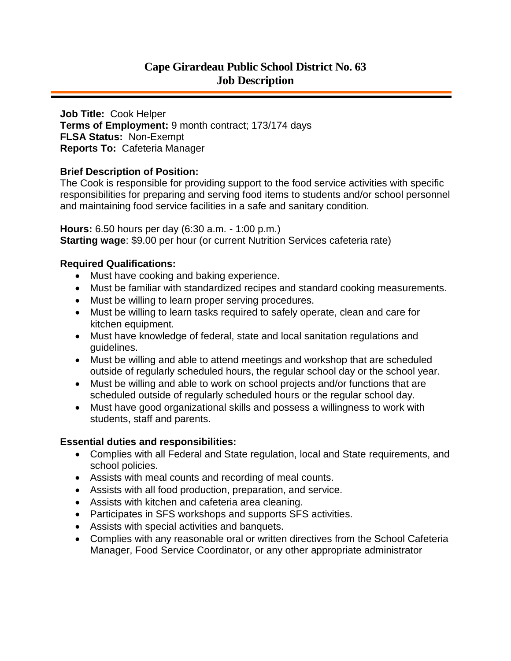# **Cape Girardeau Public School District No. 63 Job Description**

**Job Title:** Cook Helper **Terms of Employment:** 9 month contract; 173/174 days **FLSA Status:** Non-Exempt **Reports To:** Cafeteria Manager

## **Brief Description of Position:**

The Cook is responsible for providing support to the food service activities with specific responsibilities for preparing and serving food items to students and/or school personnel and maintaining food service facilities in a safe and sanitary condition.

**Hours:** 6.50 hours per day (6:30 a.m. - 1:00 p.m.) **Starting wage**: \$9.00 per hour (or current Nutrition Services cafeteria rate)

### **Required Qualifications:**

- Must have cooking and baking experience.
- Must be familiar with standardized recipes and standard cooking measurements.
- Must be willing to learn proper serving procedures.
- Must be willing to learn tasks required to safely operate, clean and care for kitchen equipment.
- Must have knowledge of federal, state and local sanitation regulations and guidelines.
- Must be willing and able to attend meetings and workshop that are scheduled outside of regularly scheduled hours, the regular school day or the school year.
- Must be willing and able to work on school projects and/or functions that are scheduled outside of regularly scheduled hours or the regular school day.
- Must have good organizational skills and possess a willingness to work with students, staff and parents.

### **Essential duties and responsibilities:**

- Complies with all Federal and State regulation, local and State requirements, and school policies.
- Assists with meal counts and recording of meal counts.
- Assists with all food production, preparation, and service.
- Assists with kitchen and cafeteria area cleaning.
- Participates in SFS workshops and supports SFS activities.
- Assists with special activities and banquets.
- Complies with any reasonable oral or written directives from the School Cafeteria Manager, Food Service Coordinator, or any other appropriate administrator